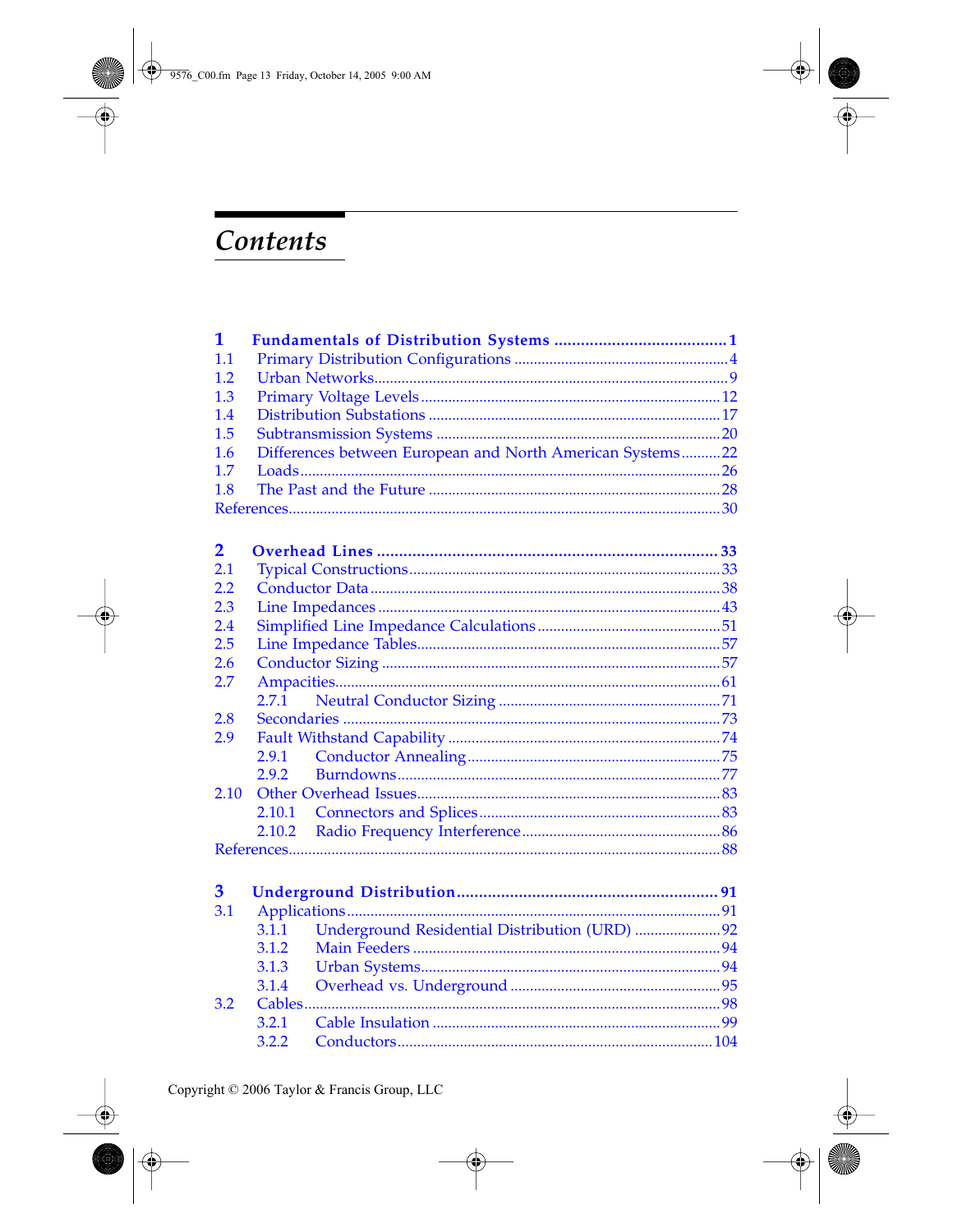## <span id="page-0-0"></span>Contents

| $\mathbf 1$             |        |                                                           |  |  |  |
|-------------------------|--------|-----------------------------------------------------------|--|--|--|
| 1.1                     |        |                                                           |  |  |  |
| 1.2                     |        |                                                           |  |  |  |
| 1.3                     |        |                                                           |  |  |  |
| 1.4                     |        |                                                           |  |  |  |
| 1.5                     |        |                                                           |  |  |  |
| 1.6                     |        | Differences between European and North American Systems22 |  |  |  |
| 1.7                     |        |                                                           |  |  |  |
| 1.8                     |        |                                                           |  |  |  |
|                         |        |                                                           |  |  |  |
| $\overline{\mathbf{2}}$ |        |                                                           |  |  |  |
| 2.1                     |        |                                                           |  |  |  |
| 2.2                     |        |                                                           |  |  |  |
| 2.3                     |        |                                                           |  |  |  |
| 2.4                     |        |                                                           |  |  |  |
| 2.5                     |        |                                                           |  |  |  |
| 2.6                     |        |                                                           |  |  |  |
| 2.7                     |        |                                                           |  |  |  |
|                         | 2.7.1  |                                                           |  |  |  |
| 2.8                     |        |                                                           |  |  |  |
| 2.9                     |        |                                                           |  |  |  |
|                         | 2.9.1  |                                                           |  |  |  |
|                         | 2.9.2  |                                                           |  |  |  |
| 2.10                    |        |                                                           |  |  |  |
|                         | 2.10.1 |                                                           |  |  |  |
|                         | 2.10.2 |                                                           |  |  |  |
|                         |        |                                                           |  |  |  |
| 3                       |        |                                                           |  |  |  |
| 3.1                     |        |                                                           |  |  |  |
|                         | 3.1.1  | Underground Residential Distribution (URD) 92             |  |  |  |
|                         | 3.1.2  |                                                           |  |  |  |
|                         | 3.1.3  |                                                           |  |  |  |
|                         | 3.1.4  |                                                           |  |  |  |
| 3.2                     |        |                                                           |  |  |  |
|                         | 3.2.1  |                                                           |  |  |  |
|                         | 3.2.2  |                                                           |  |  |  |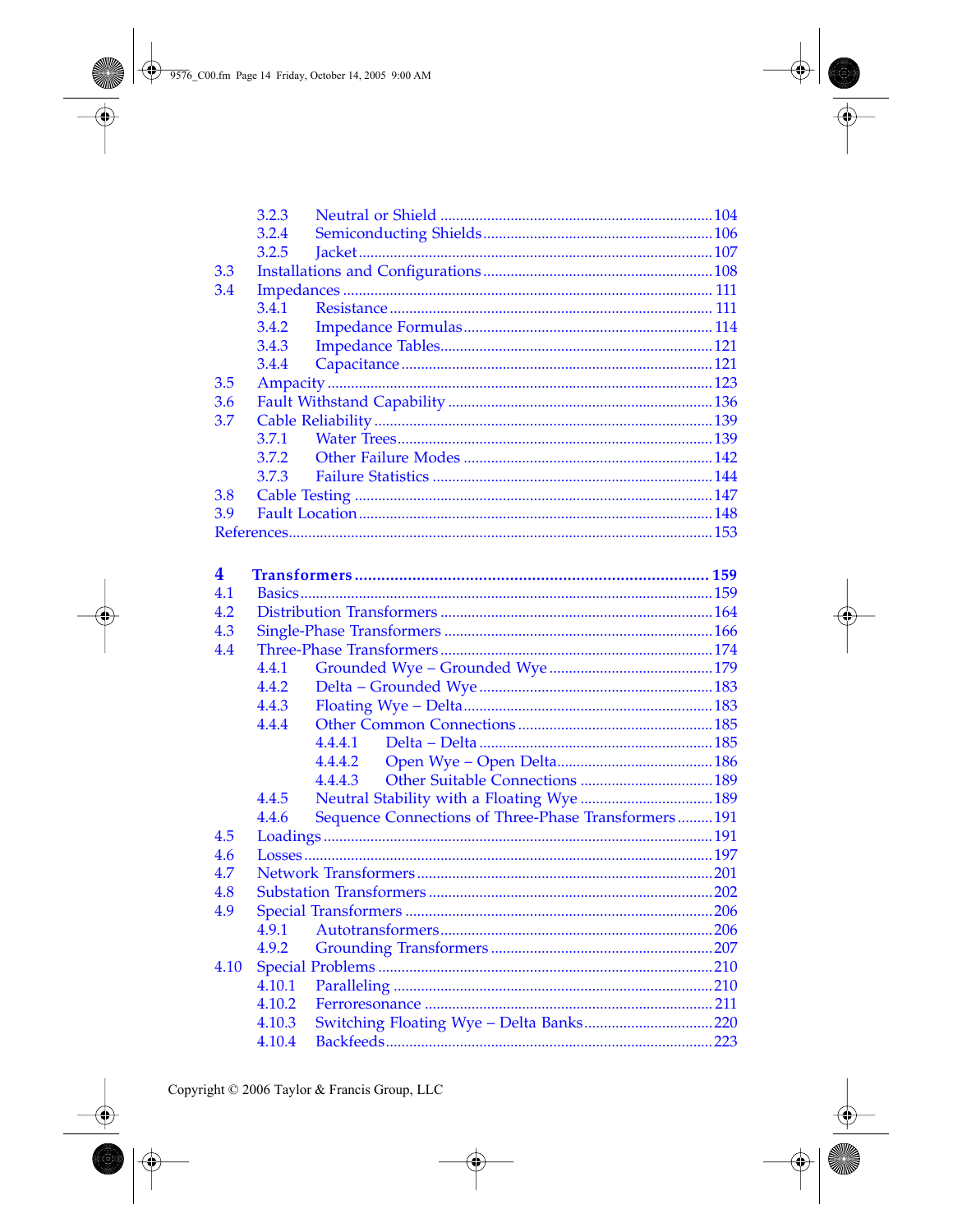<span id="page-1-0"></span>

|      | 3.2.3  |                                                     |  |  |  |  |
|------|--------|-----------------------------------------------------|--|--|--|--|
|      | 3.2.4  |                                                     |  |  |  |  |
|      | 3.2.5  |                                                     |  |  |  |  |
| 3.3  |        |                                                     |  |  |  |  |
| 3.4  |        |                                                     |  |  |  |  |
|      | 3.4.1  |                                                     |  |  |  |  |
|      | 3.4.2  |                                                     |  |  |  |  |
|      | 3.4.3  |                                                     |  |  |  |  |
|      | 3.4.4  |                                                     |  |  |  |  |
| 3.5  |        |                                                     |  |  |  |  |
| 3.6  |        |                                                     |  |  |  |  |
| 3.7  |        |                                                     |  |  |  |  |
|      | 3.7.1  |                                                     |  |  |  |  |
|      | 3.7.2  |                                                     |  |  |  |  |
|      | 3.7.3  |                                                     |  |  |  |  |
| 3.8  |        |                                                     |  |  |  |  |
| 3.9  |        |                                                     |  |  |  |  |
|      |        |                                                     |  |  |  |  |
|      |        |                                                     |  |  |  |  |
| 4    |        |                                                     |  |  |  |  |
| 4.1  |        |                                                     |  |  |  |  |
| 4.2  |        |                                                     |  |  |  |  |
| 4.3  |        |                                                     |  |  |  |  |
| 4.4  |        |                                                     |  |  |  |  |
|      | 4.4.1  |                                                     |  |  |  |  |
|      | 4.4.2  |                                                     |  |  |  |  |
|      | 4.4.3  |                                                     |  |  |  |  |
|      | 4.4.4  |                                                     |  |  |  |  |
|      |        | 4.4.4.1                                             |  |  |  |  |
|      |        | 4.4.4.2                                             |  |  |  |  |
|      |        | 4.4.4.3                                             |  |  |  |  |
|      | 4.4.5  |                                                     |  |  |  |  |
|      | 4.4.6  | Sequence Connections of Three-Phase Transformers191 |  |  |  |  |
| 4.5  |        |                                                     |  |  |  |  |
| 4.6  |        |                                                     |  |  |  |  |
| 4.7  |        |                                                     |  |  |  |  |
| 4.8  |        |                                                     |  |  |  |  |
| 4.9  |        |                                                     |  |  |  |  |
|      | 4.9.1  |                                                     |  |  |  |  |
|      | 4.9.2  |                                                     |  |  |  |  |
|      |        |                                                     |  |  |  |  |
| 4.10 | 4.10.1 |                                                     |  |  |  |  |
|      | 4.10.2 |                                                     |  |  |  |  |
|      |        |                                                     |  |  |  |  |
|      | 4.10.3 |                                                     |  |  |  |  |
|      | 4.10.4 |                                                     |  |  |  |  |